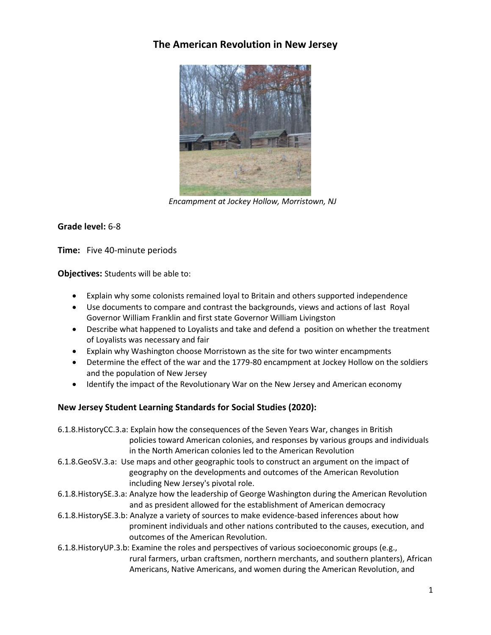# **The American Revolution in New Jersey**



*Encampment at Jockey Hollow, Morristown, NJ*

## **Grade level:** 6-8

**Time:** Five 40-minute periods

**Objectives:** Students will be able to:

- Explain why some colonists remained loyal to Britain and others supported independence
- Use documents to compare and contrast the backgrounds, views and actions of last Royal Governor William Franklin and first state Governor William Livingston
- Describe what happened to Loyalists and take and defend a position on whether the treatment of Loyalists was necessary and fair
- Explain why Washington choose Morristown as the site for two winter encampments
- Determine the effect of the war and the 1779-80 encampment at Jockey Hollow on the soldiers and the population of New Jersey
- Identify the impact of the Revolutionary War on the New Jersey and American economy

## **New Jersey Student Learning Standards for Social Studies (2020):**

- 6.1.8.HistoryCC.3.a: Explain how the consequences of the Seven Years War, changes in British policies toward American colonies, and responses by various groups and individuals in the North American colonies led to the American Revolution
- 6.1.8.GeoSV.3.a: Use maps and other geographic tools to construct an argument on the impact of geography on the developments and outcomes of the American Revolution including New Jersey's pivotal role.
- 6.1.8.HistorySE.3.a: Analyze how the leadership of George Washington during the American Revolution and as president allowed for the establishment of American democracy
- 6.1.8.HistorySE.3.b: Analyze a variety of sources to make evidence-based inferences about how prominent individuals and other nations contributed to the causes, execution, and outcomes of the American Revolution.
- 6.1.8.HistoryUP.3.b: Examine the roles and perspectives of various socioeconomic groups (e.g., rural farmers, urban craftsmen, northern merchants, and southern planters), African Americans, Native Americans, and women during the American Revolution, and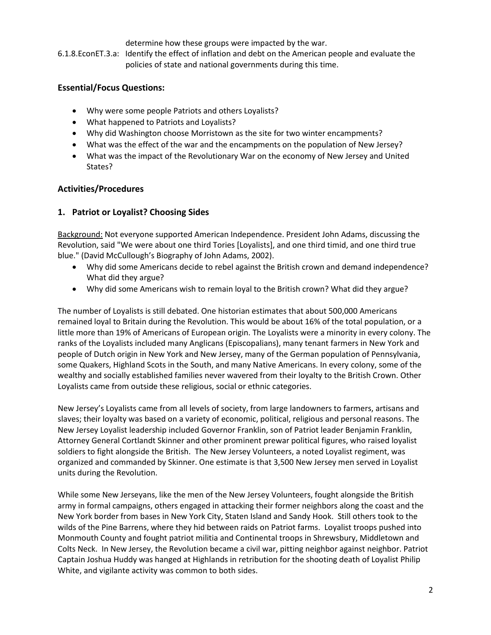determine how these groups were impacted by the war.

6.1.8.EconET.3.a: Identify the effect of inflation and debt on the American people and evaluate the policies of state and national governments during this time.

## **Essential/Focus Questions:**

- Why were some people Patriots and others Loyalists?
- What happened to Patriots and Loyalists?
- Why did Washington choose Morristown as the site for two winter encampments?
- What was the effect of the war and the encampments on the population of New Jersey?
- What was the impact of the Revolutionary War on the economy of New Jersey and United States?

#### **Activities/Procedures**

#### **1. Patriot or Loyalist? Choosing Sides**

Background: Not everyone supported American Independence. President John Adams, discussing the Revolution, said "We were about one third Tories [Loyalists], and one third timid, and one third true blue." (David McCullough's Biography of John Adams, 2002).

- Why did some Americans decide to rebel against the British crown and demand independence? What did they argue?
- Why did some Americans wish to remain loyal to the British crown? What did they argue?

The number of Loyalists is still debated. One historian estimates that about 500,000 Americans remained loyal to Britain during the Revolution. This would be about 16% of the total population, or a little more than 19% of Americans of European origin. The Loyalists were a minority in every colony. The ranks of the Loyalists included many Anglicans (Episcopalians), many tenant farmers in New York and people of Dutch origin in New York and New Jersey, many of the German population of Pennsylvania, some Quakers, Highland Scots in the South, and many Native Americans. In every colony, some of the wealthy and socially established families never wavered from their loyalty to the British Crown. Other Loyalists came from outside these religious, social or ethnic categories.

New Jersey's Loyalists came from all levels of society, from large landowners to farmers, artisans and slaves; their loyalty was based on a variety of economic, political, religious and personal reasons. The New Jersey Loyalist leadership included Governor Franklin, son of Patriot leader Benjamin Franklin, Attorney General Cortlandt Skinner and other prominent prewar political figures, who raised loyalist soldiers to fight alongside the British. The New Jersey Volunteers, a noted Loyalist regiment, was organized and commanded by Skinner. One estimate is that 3,500 New Jersey men served in Loyalist units during the Revolution.

While some New Jerseyans, like the men of the New Jersey Volunteers, fought alongside the British army in formal campaigns, others engaged in attacking their former neighbors along the coast and the New York border from bases in New York City, Staten Island and Sandy Hook. Still others took to the wilds of the Pine Barrens, where they hid between raids on Patriot farms. Loyalist troops pushed into Monmouth County and fought patriot militia and Continental troops in Shrewsbury, Middletown and Colts Neck. In New Jersey, the Revolution became a civil war, pitting neighbor against neighbor. Patriot Captain Joshua Huddy was hanged at Highlands in retribution for the shooting death of Loyalist Philip White, and vigilante activity was common to both sides.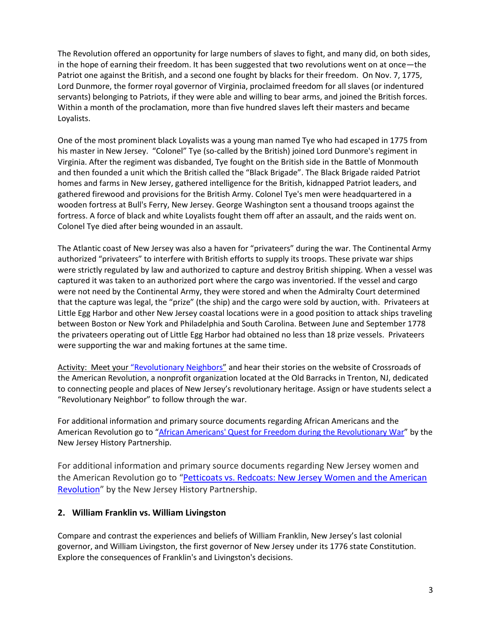The Revolution offered an opportunity for large numbers of slaves to fight, and many did, on both sides, in the hope of earning their freedom. It has been suggested that two revolutions went on at once—the Patriot one against the British, and a second one fought by blacks for their freedom. On Nov. 7, 1775, [Lord Dunmore,](http://en.wikipedia.org/wiki/Lord_Dunmore) the former royal governor of Virginia, proclaimed freedom for all slaves (or indentured servants) belonging to Patriots, if they were able and willing to bear arms, and joined the British forces. Within a month of the proclamation, more than five hundred slaves left their masters and became Loyalists.

One of the most prominent black Loyalists was a young man named Tye who had escaped in 1775 from his master in New Jersey. "Colonel" Tye (so-called by the British) joined Lord Dunmore's regiment in Virginia. After the regiment was disbanded, Tye fought on the British side in the Battle of Monmouth and then founded a unit which the British called the "Black Brigade". The Black Brigade raided Patriot homes and farms in New Jersey, gathered intelligence for the British, kidnapped Patriot leaders, and gathered firewood and provisions for the British Army. Colonel Tye's men were headquartered in a wooden fortress at Bull's Ferry, New Jersey. George Washington sent a thousand troops against the fortress. A force of black and white Loyalists fought them off after an assault, and the raids went on. Colonel Tye died after being wounded in an assault.

The Atlantic coast of New Jersey was also a haven for "privateers" during the war. The Continental Army authorized "privateers" to interfere with British efforts to supply its troops. These private war ships were strictly regulated by law and authorized to capture and destroy British shipping. When a vessel was captured it was taken to an authorized port where the cargo was inventoried. If the vessel and cargo were not need by the Continental Army, they were stored and when the Admiralty Court determined that the capture was legal, the "prize" (the ship) and the cargo were sold by auction, with. Privateers at Little Egg Harbor and other New Jersey coastal locations were in a good position to attack ships traveling between Boston or New York and Philadelphia and South Carolina. Between June and September 1778 the privateers operating out of Little Egg Harbor had obtained no less than 18 prize vessels. Privateers were supporting the war and making fortunes at the same time.

Activity: Meet your ["Revolutionary Neighbors"](https://revolutionarynj.org/the-stories/) and hear their stories on the website of Crossroads of the American Revolution, a nonprofit organization located at the Old Barracks in Trenton, NJ, dedicated to connecting people and places of New Jersey's revolutionary heritage. Assign or have students select a "Revolutionary Neighbor" to follow through the war.

For additional information and primary source documents regarding African Americans and the American Revolution go to "[African Americans' Quest for Freedom during the Revolutionary War](http://nj.gov/state/njhistorypartnership/americanRevolution/africanAmericans/lesson/africanAmericansLesson.pdf)" by the New Jersey History Partnership.

For additional information and primary source documents regarding New Jersey women and the American Revolution go to "Petticoats vs. Redcoats: New Jersey Women and the American [Revolution](http://nj.gov/state/njhistorypartnership/americanRevolution/women/lesson/womenLesson.pdf)" by the New Jersey History Partnership.

## **2. William Franklin vs. William Livingston**

Compare and contrast the experiences and beliefs of William Franklin, New Jersey's last colonial governor, and William Livingston, the first governor of New Jersey under its 1776 state Constitution. Explore the consequences of Franklin's and Livingston's decisions.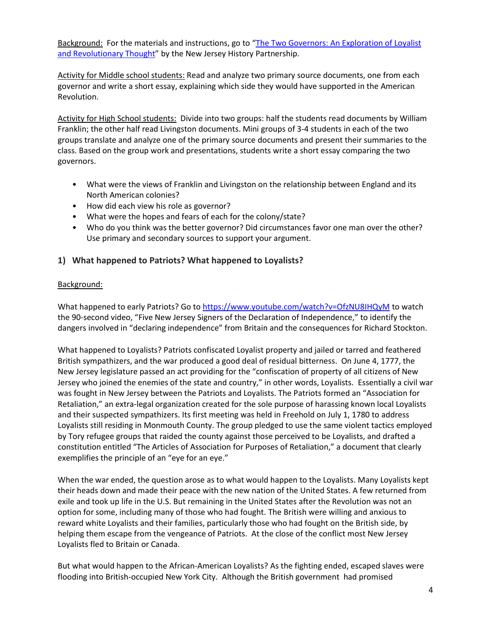Background: For the materials and instructions, go to "[The Two Governors: An Exploration of Loyalist](http://nj.gov/state/njhistorypartnership/americanRevolution/theTwoGovernors/lesson/theTwoGovernorsLesson.pdf)  [and Revolutionary Thought](http://nj.gov/state/njhistorypartnership/americanRevolution/theTwoGovernors/lesson/theTwoGovernorsLesson.pdf)" by the New Jersey History Partnership.

Activity for Middle school students: Read and analyze two primary source documents, one from each governor and write a short essay, explaining which side they would have supported in the American Revolution.

Activity for High School students: Divide into two groups: half the students read documents by William Franklin; the other half read Livingston documents. Mini groups of 3-4 students in each of the two groups translate and analyze one of the primary source documents and present their summaries to the class. Based on the group work and presentations, students write a short essay comparing the two governors.

- What were the views of Franklin and Livingston on the relationship between England and its North American colonies?
- How did each view his role as governor?
- What were the hopes and fears of each for the colony/state?
- Who do you think was the better governor? Did circumstances favor one man over the other? Use primary and secondary sources to support your argument.

## **1) What happened to Patriots? What happened to Loyalists?**

#### Background:

What happened to early Patriots? Go t[o https://www.youtube.com/watch?v=OfzNU8IHQyM](https://www.youtube.com/watch?v=OfzNU8IHQyM) to watch the 90-second video, "Five New Jersey Signers of the Declaration of Independence," to identify the dangers involved in "declaring independence" from Britain and the consequences for Richard Stockton.

What happened to Loyalists? Patriots confiscated Loyalist property and jailed or tarred and feathered British sympathizers, and the war produced a good deal of residual bitterness. On June 4, 1777, the New Jersey legislature passed an act providing for the "confiscation of property of all citizens of New Jersey who joined the enemies of the state and country," in other words, Loyalists. Essentially a civil war was fought in New Jersey between the Patriots and Loyalists. The Patriots formed an "Association for Retaliation," an extra-legal organization created for the sole purpose of harassing known local Loyalists and their suspected sympathizers. Its first meeting was held in Freehold on July 1, 1780 to address Loyalists still residing in Monmouth County. The group pledged to use the same violent tactics employed by Tory refugee groups that raided the county against those perceived to be Loyalists, and drafted a constitution entitled "The Articles of Association for Purposes of Retaliation," a document that clearly exemplifies the principle of an "eye for an eye."

When the war ended, the question arose as to what would happen to the Loyalists. Many Loyalists kept their heads down and made their peace with the new nation of the United States. A few returned from exile and took up life in the U.S. But remaining in the United States after the Revolution was not an option for some, including many of those who had fought. The British were willing and anxious to reward white Loyalists and their families, particularly those who had fought on the British side, by helping them escape from the vengeance of Patriots. At the close of the conflict most New Jersey Loyalists fled to Britain or Canada.

But what would happen to the African-American Loyalists? As the fighting ended, escaped slaves were flooding into British-occupied New York City. Although the British government had promised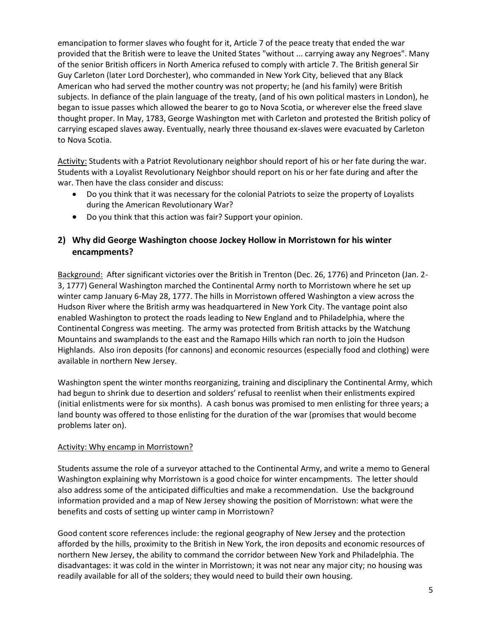emancipation to former slaves who fought for it, Article 7 of the peace treaty that ended the war provided that the British were to leave the United States "without ... carrying away any Negroes". Many of the senior British officers in North America refused to comply with article 7. The British general Sir Guy Carleton (later Lord Dorchester), who commanded in New York City, believed that any Black American who had served the mother country was not property; he (and his family) were British subjects. In defiance of the plain language of the treaty, (and of his own political masters in London), he began to issue passes which allowed the bearer to go to Nova Scotia, or wherever else the freed slave thought proper. In May, 1783, George Washington met with Carleton and protested the British policy of carrying escaped slaves away. Eventually, nearly three thousand ex-slaves were evacuated by Carleton to Nova Scotia.

Activity: Students with a Patriot Revolutionary neighbor should report of his or her fate during the war. Students with a Loyalist Revolutionary Neighbor should report on his or her fate during and after the war. Then have the class consider and discuss:

- Do you think that it was necessary for the colonial Patriots to seize the property of Loyalists during the American Revolutionary War?
- Do you think that this action was fair? Support your opinion.

## **2) Why did George Washington choose Jockey Hollow in Morristown for his winter encampments?**

Background:After significant victories over the British in Trenton (Dec. 26, 1776) and Princeton (Jan. 2- 3, 1777) General Washington marched the Continental Army north to Morristown where he set up winter camp January 6-May 28, 1777. The hills in Morristown offered Washington a view across the Hudson River where the British army was headquartered in New York City. The vantage point also enabled Washington to protect the roads leading to New England and to Philadelphia, where the Continental Congress was meeting. The army was protected from British attacks by the Watchung Mountains and swamplands to the east and the Ramapo Hills which ran north to join the Hudson Highlands. Also iron deposits (for cannons) and economic resources (especially food and clothing) were available in northern New Jersey.

Washington spent the winter months reorganizing, training and disciplinary the Continental Army, which had begun to shrink due to desertion and solders' refusal to reenlist when their enlistments expired (initial enlistments were for six months). A cash bonus was promised to men enlisting for three years; a land bounty was offered to those enlisting for the duration of the war (promises that would become problems later on).

#### Activity: Why encamp in Morristown?

Students assume the role of a surveyor attached to the Continental Army, and write a memo to General Washington explaining why Morristown is a good choice for winter encampments. The letter should also address some of the anticipated difficulties and make a recommendation. Use the background information provided and a map of New Jersey showing the position of Morristown: what were the benefits and costs of setting up winter camp in Morristown?

Good content score references include: the regional geography of New Jersey and the protection afforded by the hills, proximity to the British in New York, the iron deposits and economic resources of northern New Jersey, the ability to command the corridor between New York and Philadelphia. The disadvantages: it was cold in the winter in Morristown; it was not near any major city; no housing was readily available for all of the solders; they would need to build their own housing.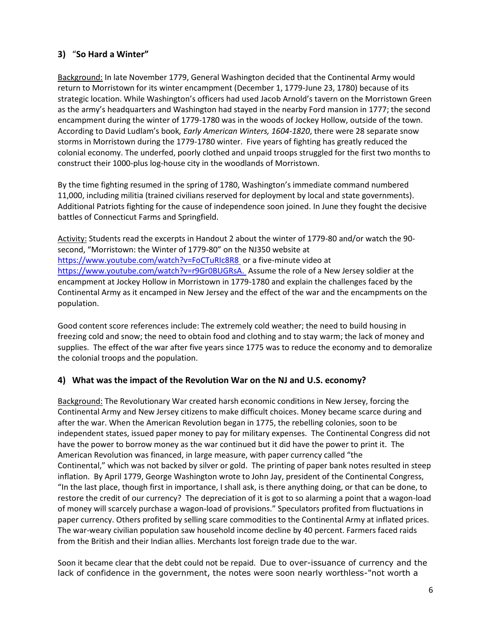## **3)** "**So Hard a Winter"**

Background: In late November 1779, General Washington decided that the Continental Army would return to Morristown for its winter encampment (December 1, 1779-June 23, 1780) because of its strategic location. While Washington's officers had used Jacob Arnold's tavern on the Morristown Green as the army's headquarters and Washington had stayed in the nearby Ford mansion in 1777; the second encampment during the winter of 1779-1780 was in the woods of Jockey Hollow, outside of the town. According to David Ludlam's book*, Early American Winters, 1604-1820*, there were 28 separate snow storms in Morristown during the 1779-1780 winter. Five years of fighting has greatly reduced the colonial economy. The underfed, poorly clothed and unpaid troops struggled for the first two months to construct their 1000-plus log-house city in the woodlands of Morristown.

By the time fighting resumed in the spring of 1780, Washington's immediate command numbered 11,000, including militia (trained civilians reserved for deployment by local and state governments). Additional Patriots fighting for the cause of independence soon joined. In June they fought the decisive battles of Connecticut Farms and Springfield.

Activity: Students read the excerpts in Handout 2 about the winter of 1779-80 and/or watch the 90 second, "Morristown: the Winter of 1779-80" on the NJ350 website at <https://www.youtube.com/watch?v=FoCTuRIc8R8> or a five-minute video at [https://www.youtube.com/watch?v=r9Gr0BUGRsA.](https://www.youtube.com/watch?v=r9Gr0BUGRsA) Assume the role of a New Jersey soldier at the encampment at Jockey Hollow in Morristown in 1779-1780 and explain the challenges faced by the Continental Army as it encamped in New Jersey and the effect of the war and the encampments on the population.

Good content score references include: The extremely cold weather; the need to build housing in freezing cold and snow; the need to obtain food and clothing and to stay warm; the lack of money and supplies. The effect of the war after five years since 1775 was to reduce the economy and to demoralize the colonial troops and the population.

## **4) What was the impact of the Revolution War on the NJ and U.S. economy?**

Background: The Revolutionary War created harsh economic conditions in New Jersey, forcing the Continental Army and New Jersey citizens to make difficult choices. Money became scarce during and after the war. When the American Revolution began in 1775, the rebelling colonies, soon to be independent states, issued paper money to pay for military expenses. The Continental Congress did not have the power to borrow money as the war continued but it did have the power to print it. The American Revolution was financed, in large measure, with paper currency called "the Continental," which was not backed by silver or gold. The printing of paper bank notes resulted in steep inflation. By April 1779, [George Washington wrote to John Jay,](http://oll.libertyfund.org/?option=com_staticxt&staticfile=show.php%3Ftitle=2326&chapter=220022&layout=html#a_3524229) president of the Continental Congress, "In the last place, though first in importance, I shall ask, is there anything doing, or that can be done, to restore the credit of our currency? The depreciation of it is got to so alarming a point that a wagon*-*load of money will scarcely purchase a wagon*-*load of provisions." Speculators profited from fluctuations in paper currency. Others profited by selling scare commodities to the Continental Army at inflated prices. The war-weary civilian population saw household income decline by 40 percent. Farmers faced raids from the British and their Indian allies. Merchants lost foreign trade due to the war.

Soon it became clear that the debt could not be repaid. Due to over-issuance of currency and the lack of confidence in the government, the notes were soon nearly worthless-"not worth a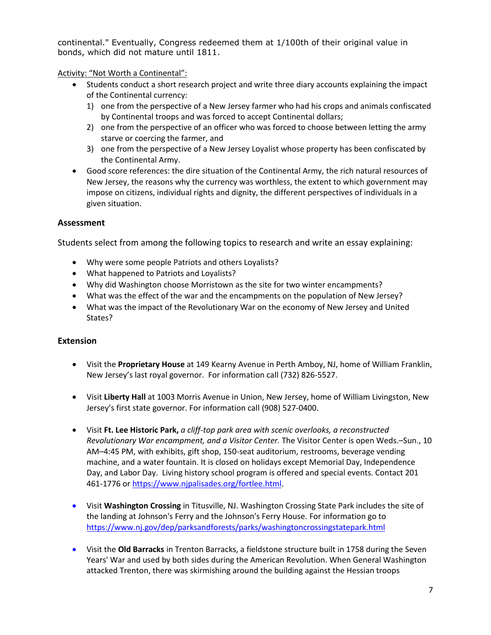continental." Eventually, Congress redeemed them at 1/100th of their original value in bonds, which did not mature until 1811.

Activity: "Not Worth a Continental":

- Students conduct a short research project and write three diary accounts explaining the impact of the Continental currency:
	- 1) one from the perspective of a New Jersey farmer who had his crops and animals confiscated by Continental troops and was forced to accept Continental dollars;
	- 2) one from the perspective of an officer who was forced to choose between letting the army starve or coercing the farmer, and
	- 3) one from the perspective of a New Jersey Loyalist whose property has been confiscated by the Continental Army.
- Good score references: the dire situation of the Continental Army, the rich natural resources of New Jersey, the reasons why the currency was worthless, the extent to which government may impose on citizens, individual rights and dignity, the different perspectives of individuals in a given situation.

## **Assessment**

Students select from among the following topics to research and write an essay explaining:

- Why were some people Patriots and others Loyalists?
- What happened to Patriots and Loyalists?
- Why did Washington choose Morristown as the site for two winter encampments?
- What was the effect of the war and the encampments on the population of New Jersey?
- What was the impact of the Revolutionary War on the economy of New Jersey and United States?

## **Extension**

- Visit the **Proprietary House** at 149 Kearny Avenue in Perth Amboy, NJ, home of William Franklin, New Jersey's last royal governor. For information call (732) 826-5527.
- Visit **Liberty Hall** at 1003 Morris Avenue in Union, New Jersey, home of William Livingston, New Jersey's first state governor. For information call (908) 527-0400.
- Visit **Ft. Lee Historic Park,** *a cliff-top park area with scenic overlooks, a reconstructed Revolutionary War encampment, and a Visitor Center.* The Visitor Center is open Weds.–Sun., 10 AM–4:45 PM, with exhibits, gift shop, 150-seat auditorium, restrooms, beverage vending machine, and a water fountain. It is closed on holidays except Memorial Day, Independence Day, and Labor Day. Living history school program is offered and special events. Contact 201 461-1776 or [https://www.njpalisades.org/fortlee.html.](https://www.njpalisades.org/fortlee.html)
- Visit **Washington Crossing** in Titusville, NJ. Washington Crossing State Park includes the site of the landing at Johnson's Ferry and the Johnson's Ferry House. For information go to <https://www.nj.gov/dep/parksandforests/parks/washingtoncrossingstatepark.html>
- Visit the **Old Barracks** in Trenton Barracks, a fieldstone structure built in 1758 during the Seven Years' War and used by both sides during the American Revolution. When General Washington attacked Trenton, there was skirmishing around the building against the Hessian troops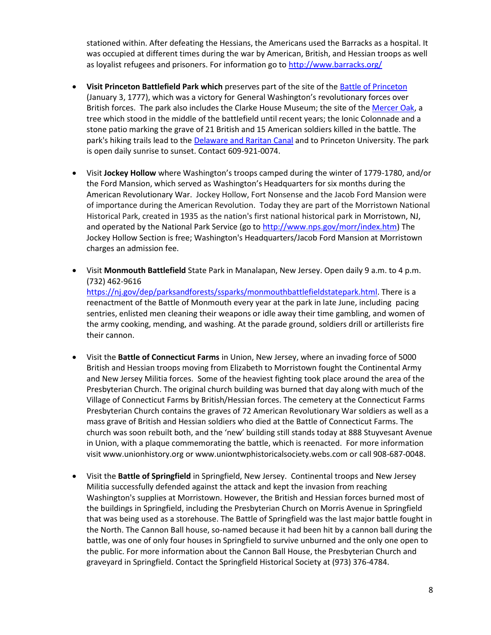stationed within. After defeating the Hessians, the Americans used the Barracks as a hospital. It was occupied at different times during the war by American, British, and Hessian troops as well as loyalist refugees and prisoners. For information go to<http://www.barracks.org/>

- **Visit Princeton Battlefield Park which** preserves part of the site of the [Battle of Princeton](http://en.wikipedia.org/wiki/Battle_of_Princeton) (January 3, 1777), which was a victory for General Washington's revolutionary forces over British forces. The park also includes the Clarke House Museum; the site of the [Mercer Oak,](http://en.wikipedia.org/wiki/Mercer_Oak) a tree which stood in the middle of the battlefield until recent years; the Ionic Colonnade and a stone patio marking the grave of 21 British and 15 American soldiers killed in the battle. The park's hiking trails lead to the [Delaware and Raritan Canal](http://en.wikipedia.org/wiki/Delaware_and_Raritan_Canal) and to Princeton University. The park is open daily sunrise to sunset. Contact 609-921-0074.
- Visit **Jockey Hollow** where Washington's troops camped during the winter of 1779-1780, and/or the Ford Mansion, which served as Washington's Headquarters for six months during the American Revolutionary War. Jockey Hollow, Fort Nonsense and the Jacob Ford Mansion were of importance during the American Revolution. Today they are part of the Morristown National Historical Park, created in 1935 as the nation's first national historical park in Morristown, NJ, and operated by the National Park Service (go t[o http://www.nps.gov/morr/index.htm\)](http://www.nps.gov/morr/index.htm) The Jockey Hollow Section is free; Washington's Headquarters/Jacob Ford Mansion at Morristown charges an admission fee.
- Visit **Monmouth Battlefield** State Park in Manalapan, New Jersey. Open daily 9 a.m. to 4 p.m. (732) 462-9616 [https://nj.gov/dep/parksandforests/ssparks/monmouthbattlefieldstatepark.html.](https://nj.gov/dep/parksandforests/ssparks/monmouthbattlefieldstatepark.html) There is a reenactment of the Battle of Monmouth every year at the park in late June, including pacing sentries, enlisted men cleaning their weapons or idle away their time gambling, and women of the army cooking, mending, and washing. At the parade ground, soldiers drill or artillerists fire their cannon.
- Visit the **Battle of Connecticut Farms** in Union, New Jersey, where an invading force of 5000 British and Hessian troops moving from Elizabeth to Morristown fought the Continental Army and New Jersey Militia forces. Some of the heaviest fighting took place around the area of the Presbyterian Church. The original church building was burned that day along with much of the Village of Connecticut Farms by British/Hessian forces. The cemetery at the Connecticut Farms Presbyterian Church contains the graves of 72 American Revolutionary War soldiers as well as a mass grave of British and Hessian soldiers who died at the Battle of Connecticut Farms. The church was soon rebuilt both, and the 'new' building still stands today at 888 Stuyvesant Avenue in Union, with a plaque commemorating the battle, which is reenacted. For more information visit www.unionhistory.org or www.uniontwphistoricalsociety.webs.com or call 908-687-0048.
- Visit the **Battle of Springfield** in Springfield, New Jersey. Continental troops and New Jersey Militia successfully defended against the attack and kept the invasion from reaching Washington's supplies at Morristown. However, the British and Hessian forces burned most of the buildings in Springfield, including the Presbyterian Church on Morris Avenue in Springfield that was being used as a storehouse. The Battle of Springfield was the last major battle fought in the North. The Cannon Ball house, so-named because it had been hit by a cannon ball during the battle, was one of only four houses in Springfield to survive unburned and the only one open to the public. For more information about the Cannon Ball House, the Presbyterian Church and graveyard in Springfield. Contact the Springfield Historical Society at (973) 376-4784.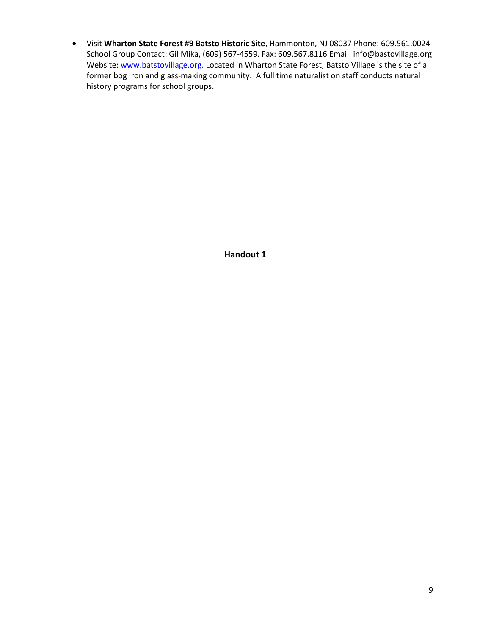Visit **Wharton State Forest #9 Batsto Historic Site**, Hammonton, NJ 08037 Phone: 609.561.0024 School Group Contact: Gil Mika, (609) 567-4559. Fax: 609.567.8116 Email: info@bastovillage.org Website[: www.batstovillage.org.](http://www.batstovillage.org/) Located in Wharton State Forest, Batsto Village is the site of a former bog iron and glass-making community. A full time naturalist on staff conducts natural history programs for school groups.

**Handout 1**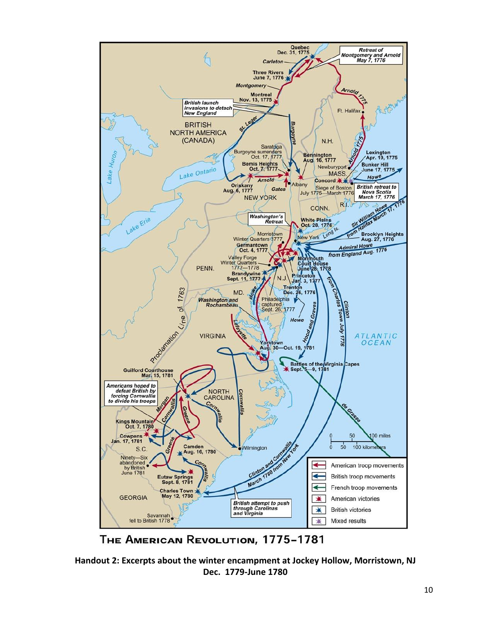

THE AMERICAN REVOLUTION, 1775-1781

**Handout 2: Excerpts about the winter encampment at Jockey Hollow, Morristown, NJ Dec. 1779-June 1780**